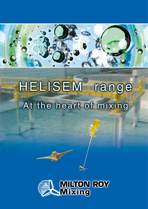

## HELISEM<sup>®</sup> range At the heart of mixing

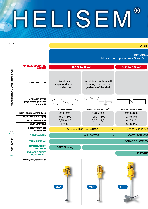## Q SEN  $\overline{\phantom{a}}$

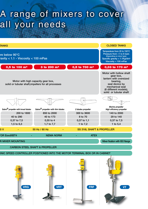## A range of mixers to cover all your needs